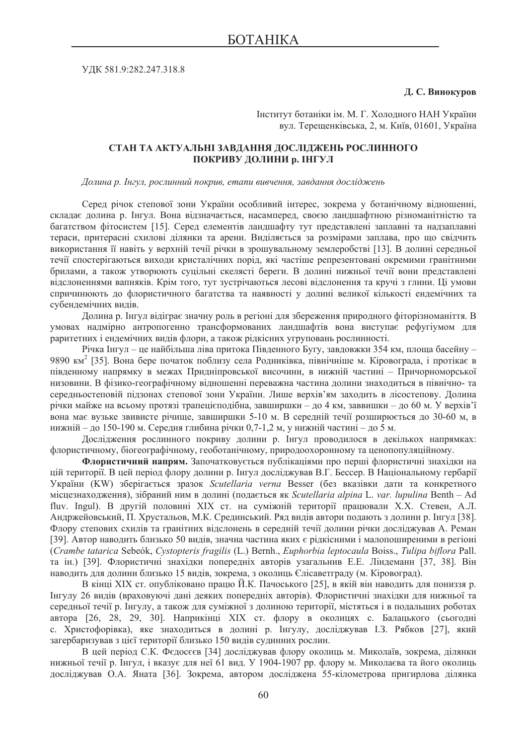ɍȾɄ 581.9:282.247.318.8

## $\Box$ **. С. Винокуров**

Інститут ботаніки ім. М. Г. Хололного НАН України вул. Терещенківська, 2, м. Київ, 01601, Україна

## СТАН ТА АКТУАЛЬНІ ЗАВДАННЯ ДОСЛІДЖЕНЬ РОСЛИННОГО **ПОКРИВУ ДОЛИНИ р. ІНГУЛ**

 $\Box$ долина р. Інгул, рослинний покрив, етапи вивчення, завдання досліджень

Серед річок степової зони України особливий інтерес, зокрема у ботанічному відношенні, складає долина р. Інгул. Вона відзначається, насамперед, своєю ландшафтною різноманітністю та багатством фітосистем [15]. Серед елементів ландшафту тут представлені заплавні та надзаплавні тераси, притерасні схилові ділянки та арени. Виділяється за розмірами заплава, про що свідчить використання її навіть у верхній течії річки в зрошувальному землеробстві [13]. В долині середньої течії спостерігаються виходи кристалічних порід, які частіше репрезентовані окремими гранітними брилами, а також утворюють суцільні скелясті береги. В долині нижньої течії вони представлені відслоненнями вапняків. Крім того, тут зустрічаються лесові відслонення та кручі з глини. Ці умови спричинюють до флористичного багатства та наявності у долині великої кількості ендемічних та субендемічних видів.

Долина р. Інгул відіграє значну роль в регіоні для збереження природного фіторізноманіття. В умовах надмірно антропогенно трансформованих ландшафтів вона виступає рефугіумом для раритетних і ендемічних видів флори, а також рідкісних угруповань рослинності.

Річка Інгул – це найбільша ліва притока Південного Бугу, завдовжки 354 км, площа басейну – 9890 км<sup>2</sup> [35]. Вона бере початок поблизу села Родниківка, північніше м. Кіровограда, і протікає в південному напрямку в межах Придніпровської височини, в нижній частині – Причорноморської низовини. В фізико-географічному відношенні переважна частина долини знаходиться в північно- та середньостеповій підзонах степової зони України. Лише верхів'ям заходить в лісостепову. Долина річки майже на всьому протязі трапецієподібна, завширшки – до 4 км, заввишки – до 60 м. У верхів'ї вона має вузьке звивисте річище, завширшки 5-10 м. В середній течії розширюється до 30-60 м, в нижній – до 150-190 м. Середня глибина річки 0,7-1,2 м, у нижній частині – до 5 м.

Дослідження рослинного покриву долини р. Інгул проводилося в декількох напрямках: флористичному, біогеографічному, геоботанічному, природоохоронному та ценопопуляційному.

Флористичний напрям. Започатковується публікаціями про перші флористичні знахідки на цій території. В цей період флору долини р. Інгул досліджував В.Г. Бессер. В Національному гербарії України (KW) зберігається зразок *Scutellaria verna* Besser (без вказівки дати та конкретного місцезнаходження), зібраний ним в долині (подається як Scutellaria alpina L. var. lupulina Benth – Ad fluv. Ingul). В другій половині XIX ст. на суміжній території працювали X.X. Стевен, А.Л. Андржейовський, П. Хрустальов, М.К. Срединський. Ряд видів автори подають з долини р. Інгул [38]. Флору степових схилів та гранітних вілслонень в серелній течії лолини річки лослілжував А. Реман [39]. Автор наводить близько 50 видів, значна частина яких є рідкісними і малопоширеними в регіоні (*Crambe tatarica* Sebeók, *Cystopteris fragilis* (L.) Bernh., *Euphorbia leptocaula* Boiss., *Tulipa biflora* Pall. та ін.) [39]. Флористичні знахідки попередніх авторів узагальнив Е.Е. Ліндеманн [37, 38]. Він наводить для долини близько 15 видів, зокрема, з околиць Єлісаветграду (м. Кіровоград).

В кінці XIX ст. опубліковано працю Й.К. Пачоського [25], в якій він наводить для пониззя р. Iнгулу 26 видів (враховуючі дані деяких попередніх авторів). Флористичні знахідки для нижньої та середньої течії р. Інгулу, а також для суміжної з долиною території, містяться і в подальших роботах автора [26, 28, 29, 30]. Наприкінці XIX ст. флору в околицях с. Балацького (сьогодні с. Христофорівка), яке знаходиться в долині р. Інгулу, досліджував І.З. Рябков [27], який загербаризував з цієї території близько 150 видів судинних рослин.

В цей період С.К. Фєдосєєв [34] досліджував флору околиць м. Миколаїв, зокрема, ділянки нижньої течії р. Інгул, і вказує для неї 61 вид. У 1904-1907 рр. флору м. Миколаєва та його околиць досліджував О.А. Яната [36]. Зокрема, автором досліджена 55-кілометрова пригирлова ділянка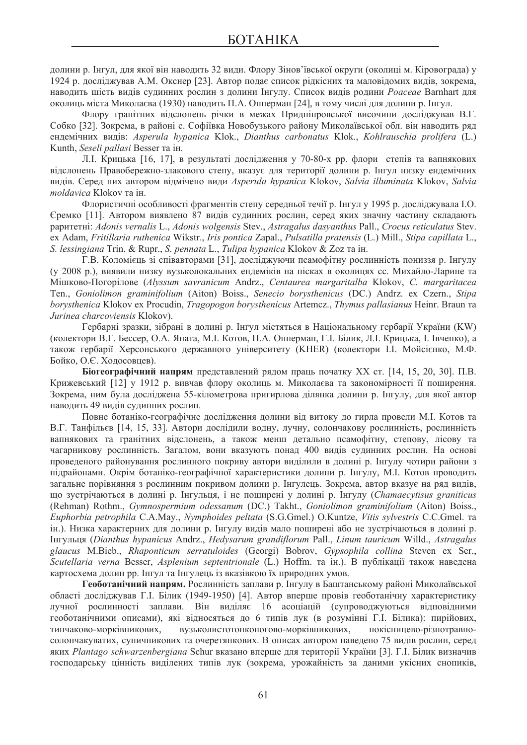долини р. Інгул, для якої він наводить 32 види. Флору Зінов'ївської округи (околиці м. Кіровограда) у 1924 р. досліджував А.М. Окснер [23]. Автор подає список рідкісних та маловідомих видів, зокрема, наводить шість видів судинних рослин з долини Інгулу. Список видів родини *Poaceae* Barnhart для околиць міста Миколаєва (1930) наводить П.А. Опперман [24], в тому числі для долини р. Інгул.

Флору гранітних вілслонень річки в межах Прилніпровської височини лослілжував В.Г. Собко [32]. Зокрема, в районі с. Софіївка Новобузького району Миколаївської обл. він наводить ряд ɟɧɞɟɦɿɱɧɢɯ ɜɢɞɿɜ: *Asperula hypanica* Klok., *Dianthus carbonatus* Klok., *Kohlrauschia prolifera* (L.) Kunth, *Seseli pallasi* Besser та ін.

Л. Крицька [16, 17], в результаті дослідження у 70-80-х рр. флори степів та вапнякових відслонень Правобережно-злакового степу, вказує для території долини р. Інгул низку ендемічних ɜɢɞɿɜ. ɋɟɪɟɞ ɧɢɯ ɚɜɬɨɪɨɦ ɜɿɞɦɿɱɟɧɨ ɜɢɞɢ *Asperula hypanica* Klokov, *Salvia illuminata* Klokov, *Salvia moldavica* Klokov та ін.

Флористичні особливості фрагментів степу середньої течії р. Інгул у 1995 р. досліджувала І.О. Сремко [11]. Автором виявлено 87 видів судинних рослин, серед яких значну частину складають ɪɚɪɢɬɟɬɧɿ: *Adonis vernalis* L., *Adonis wolgensis* Stev., *Astragalus dasyanthus* Pall., *Crocus reticulatus* Stev. ex Adam, *Fritillaria ruthenica* Wikstr., *Iris pontica* Zapal., *Pulsatilla pratensis* (L.) Mill., *Stipa capillata* L., *S. lessingiana* Trin. & Rupr., *S. pennata* L., *Tulipa hypanica* Klokov & Zoz  $\tau$ a i $\mu$ .

Г.В. Коломієць зі співавторами [31], досліджуючи псамофітну рослинність пониззя р. Інгулу (у 2008 р.), виявили низку вузьколокальних ендеміків на пісках в околицях сс. Михайло-Ларине та Ɇɿɲɤɨɜɨ-ɉɨɝɨɪɿɥɨɜɟ (*Alyssum savranicum* Andrz., *Centaurea margaritalba* Klokov, *C. margaritacea*  Ten., *Goniolimon graminifolium* (Aiton) Boiss., *Senecio borysthenicus* (DC.) Andrz. ex Czern., *Stipa borysthenica* Klokov ex Procudin, *Tragopogon borysthenicus* Artemcz., *Thymus pallasianus* Heinr. Braun  $\tau$ a *Jurinea charcoviensis* Klokov).

Гербарні зразки, зібрані в долині р. Інгул містяться в Національному гербарії України (KW) (колектори В.Г. Бессер, О.А. Яната, М.І. Котов, П.А. Опперман, Г.І. Білик, Л.І. Крицька, І. Івченко), а також гербарії Херсонського державного університету (КНЕR) (колектори І.І. Мойсієнко, М.Ф. Бойко, О.Є. Ходосовцев).

**Біогеографічний напрям** представлений рядом праць початку XX ст. [14, 15, 20, 30]. П.В. Крижевський [12] у 1912 р. вивчав флору околиць м. Миколаєва та закономірності її поширення. Зокрема, ним була досліджена 55-кілометрова пригирлова ділянка долини р. Інгулу, для якої автор наводить 49 видів судинних рослин.

Повне ботаніко-географічне дослідження долини від витоку до гирла провели М.І. Котов та В.Г. Танфільєв [14, 15, 33]. Автори дослідили водну, лучну, солончакову рослинність, рослинність вапнякових та гранітних відслонень, а також менш детально псамофітну, степову, лісову та чагарникову рослинність. Загалом, вони вказують понад 400 видів судинних рослин. На основі проведеного районування рослинного покриву автори виділили в долині р. Інгулу чотири райони з підрайонами. Окрім ботаніко-географічної характеристики долини р. Інгулу, М.І. Котов проводить загальне порівняння з рослинним покривом долини р. Інгулець. Зокрема, автор вказує на ряд видів, ɳɨ ɡɭɫɬɪɿɱɚɸɬɶɫɹ ɜ ɞɨɥɢɧɿ ɪ. ȱɧɝɭɥɶɰɹ, ɿ ɧɟ ɩɨɲɢɪɟɧɿ ɭ ɞɨɥɢɧɿ ɪ. ȱɧɝɭɥɭ (*Chamaecytisus graniticus* (Rehman) Rothm., *Gymnospermium odessanum* (DC.) Takht., *Goniolimon graminifolium* (Aiton) Boiss., *Euphorbia petrophila* C.A.May., *Nymphoides peltata* (S.G.Gmel.) O.Kuntze, *Vitis sylvestris* C.C.Gmel. Ta ін.). Низка характерних лля долини р. Інгулу вилів мало поширені або не зустрічаються в долині р. ȱɧɝɭɥɶɰɹ (*Dianthus hypanicus* Andrz., *Hedysarum grandiflorum* Pall., *Linum tauricum* Willd., *Astragalus glaucus* M.Bieb., *Rhaponticum serratuloides* (Georgi) Bobrov, *Gypsophila collina* Steven ex Ser., Scutellaria verna Besser, *Asplenium septentrionale* (L.) Hoffm. та ін.). В публікації також наведена картосхема долин рр. Інгул та Інгулець із вказівкою їх природних умов.

Геоботанічний напрям. Рослинність заплави р. Інгулу в Баштанському районі Миколаївської області досліджував Г.І. Білик (1949-1950) [4]. Автор вперше провів геоботанічну характеристику лучної рослинності заплави. Він виділяє 16 асоціацій (супроводжуються відповідними геоботанічними описами), які відносяться до 6 типів лук (в розумінні Г.І. Білика): пирійових, типчаково-морківникових, вузьколистотонконогово-морківникових, покісницево-різнотравносолончакуватих, суничникових та очеретянкових. В описах автором наведено 75 видів рослин, серед яких Plantago schwarzenbergiana Schur вказано вперше для території України [3]. Г.І. Білик визначив господарську цінність виділених типів лук (зокрема, урожайність за даними укісних снопиків,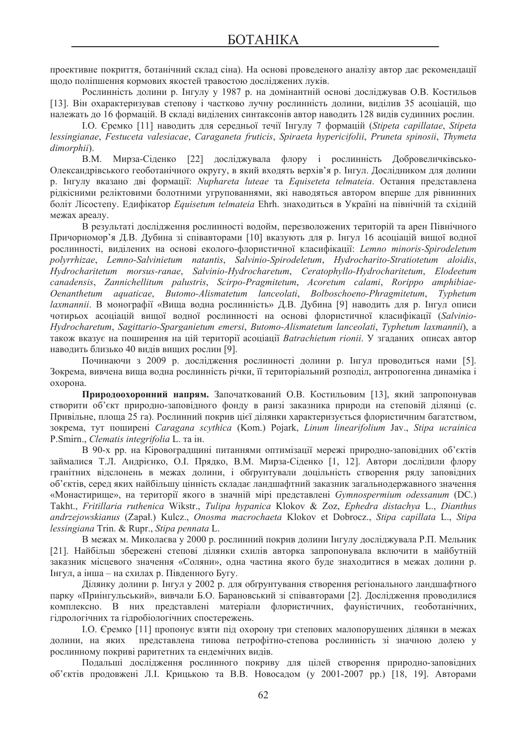проективне покриття, ботанічний склад сіна). На основі проведеного аналізу автор дає рекомендації щодо поліпшення кормових якостей травостою досліджених луків.

Рослинність долини р. Інгулу у 1987 р. на домінантній основі досліджував О.В. Костильов [13]. Він охарактеризував степову і частково лучну рослинність долини, виділив 35 асоціацій, що належать ло 16 формацій. В склалі вилілених синтаксонів автор наволить 128 вилів сулинних рослин.

ȱ.Ɉ. ȯɪɟɦɤɨ [11] ɧɚɜɨɞɢɬɶ ɞɥɹ ɫɟɪɟɞɧɶɨʀ ɬɟɱɿʀ ȱɧɝɭɥɭ 7 ɮɨɪɦɚɰɿɣ (*Stipeta capillatae*, *Stipeta lessingianae*, *Festuceta valesiacae*, *Caraganeta fruticis*, *Spiraeta hypericifolii*, *Pruneta spinosii*, *Thymeta dimorphii*).

В.М. Мирза-Сіденко [22] досліджувала флору і рослинність Добровеличківсько-Олександрівського геоботанічного округу, в який входять верхів'я р. Інгул. Дослідником для долини р. Інгулу вказано лві формації: *Nuphareta luteae* та Equiseteta telmateia. Остання представлена рідкісними реліктовими болотними угрупованнями, які наводяться автором вперше для рівнинних боліт Лісостепу. Едифікатор *Equisetum telmateia* Ehrh. знаходиться в Україні на північній та східній межах ареалу.

В результаті дослідження рослинності водойм, перезволожених територій та арен Північного Причорномор'я Д.В. Дубина зі співавторами [10] вказують для р. Інгул 16 асоціацій вищої водної рослинності, виділених на основі еколого-флористичної класифікації: Lemno minoris-Spirodeletum *polyrrhizae*, *Lemno-Salvinietum natantis*, *Salvinio-Spirodeletum*, *Hydrocharito-Stratiotetum aloidis*, *Hydrocharitetum morsus-ranae*, *Salvinio-Hydrocharetum*, *Ceratophyllo-Hydrocharitetum*, *Elodeetum ɫanadensis*, *Zannichellitum palustris*, *Scirpo-Pragmitetum*, *Acoretum calami*, *Rorippo amphibiae-Oenanthetum aquaticae*, *Butomo-Alismatetum lanceolati*, *Bolboschoeno-Phragmitetum*, *Typhetum laxmannii*. В монографії «Вища водна рослинність» Д.В. Дубина [9] наводить для р. Інгул описи чотирьох асоціацій вищої водної рослинності на основі флористичної класифікації (Salvinio-*Hydrocharetum*, *Sagittario-Sparganietum emersi*, *Butomo-Alismatetum lanceolati*, *Typhetum laxmannii*), ɚ також вказує на поширення на цій території асоціації Batrachietum rionii. У згаданих описах автор наводить близько 40 видів вищих рослин [9].

Починаючи з 2009 р. дослідження рослинності долини р. Інгул проводиться нами [5]. Зокрема, вивчена вища водна рослинність річки, її територіальний розподіл, антропогенна динаміка і охорона.

Природоохоронний напрям. Започаткований О.В. Костильовим [13], який запропонував створити об'єкт природно-заповідного фонду в ранзі заказника природи на степовій ділянці (с. Привільне, площа 25 га). Рослинний покрив цієї ділянки характеризується флористичним багатством, зокрема, тут поширені Caragana scythica (Kom.) Pojark, Linum linearifolium Jav., Stipa ucrainica P.Smirn., *Clematis integrifolia* L. та ін.

В 90-х рр. на Кіровоградщині питаннями оптимізації мережі природно-заповідних об'єктів займалися Т.Л. Андрієнко, О.І. Прядко, В.М. Мирза-Сіденко [1, 12]. Автори дослідили флору гранітних відслонень в межах долини, і обґрунтували доцільність створення ряду заповідних об'єктів, серед яких найбільшу цінність складає ландшафтний заказник загальнодержавного значення «Монастирище», на території якого в значній мірі представлені *Gymnospermium odessanum* (DC.) Takht., *Fritillaria ruthenica* Wikstr., *Tulipa hypanica* Klokov & Zoz, *Ephedra distachya* L., *Dianthus andrzejowskianus* (Zapaá.) Kulcz., *Onosma macrochaeta* Klokov et Dobrocz., *Stipa capillata* L., *Stipa lessingiana* Trin. & Rupr., *Stipa pennata* L.

В межах м. Миколаєва у 2000 р. рослинний покрив долини Інгулу досліджувала Р.П. Мельник [21]. Найбільш збережені степові ділянки схилів авторка запропонувала включити в майбутній заказник місцевого значення «Соляни», одна частина якого буде знаходитися в межах долини р. Iнгул, а інша – на схилах р. Південного Бугу.

Ділянку долини р. Інгул у 2002 р. для обґрунтування створення регіонального ландшафтного парку «Приінгульський», вивчали Б.О. Барановський зі співавторами [2]. Дослідження проводилися комплексно. В них представлені матеріали флористичних, фауністичних, геоботанічних, гідрологічних та гідробіологічних спостережень.

I.O. Єремко [11] пропонує взяти під охорону три степових малопорушених ділянки в межах долини, на яких представлена типова петрофітно-степова рослинність зі значною долею у рослинному покриві раритетних та ендемічних видів.

Подальші дослідження рослинного покриву для цілей створення природно-заповідних об'єктів продовжені Л.І. Крицькою та В.В. Новосадом (у 2001-2007 рр.) [18, 19]. Авторами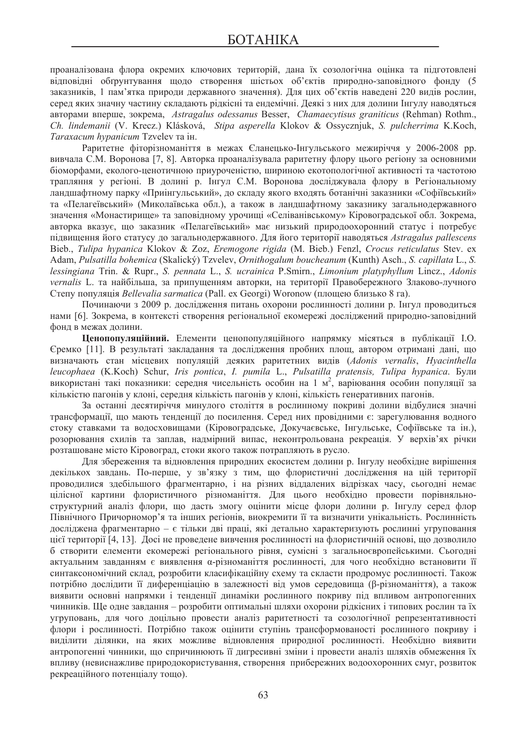проаналізована флора окремих ключових територій, дана їх созологічна оцінка та підготовлені відповідні обґрунтування щодо створення шістьох об'єктів природно-заповідного фонду (5 заказників, 1 пам'ятка природи державного значення). Для цих об'єктів наведені 220 видів рослин, серед яких значну частину складають рідкісні та ендемічні. Деякі з них для долини Інгулу наводяться авторами вперше, зокрема, Astragalus odessanus Besser, *Chamaecytisus graniticus* (Rehman) Rothm., *Ch. lindemanii* (V. Krecz.) Klásková, *Stipa asperella* Klokov & Ossycznjuk, *S. pulcherrima* K.Koch, *Taraxacum hypanicum* Tzvelev та ін.

Раритетне фіторізноманіття в межах Єланецько-Інгульського межиріччя у 2006-2008 рр. вивчала С.М. Воронова [7, 8]. Авторка проаналізувала раритетну флору цього регіону за основними біоморфами, еколого-ценотичною приуроченістю, шириною екотопологічної активності та частотою трапляння у регіоні. В долині р. Інгул С.М. Воронова досліджувала флору в Регіональному ландшафтному парку «Приінгульський», до складу якого входять ботанічні заказники «Софіївський» та «Пелагеївський» (Миколаївська обл.), а також в ландшафтному заказнику загальнодержавного значення «Монастирище» та заповідному урочищі «Селіванівському» Кіровоградської обл. Зокрема, авторка вказує, що заказник «Пелагеївський» має низький природоохоронний статус і потребує підвищення його статусу до загальнодержавного. Для його території наводяться Astragalus pallescens Bieb., *Tulipa hypanica* Klokov & Zoz, *Eremogone rigida* (M. Bieb.) Fenzl, *Crocus reticulatus* Stev. ex Adam, *Pulsatilla bohemica* (Skalický) Tzvelev, *Ornithogalum boucheanum* (Kunth) Asch., *S. capillata* L., *S. lessingiana* Trin. & Rupr., *S. pennata* L., *S. ucrainica* P.Smirn., *Limonium platyphyllum* Lincz., *Adonis vernalis* L. та найбільша, за припущенням авторки, на території Правобережного Злаково-лучного Cтепу популяція Bellevalia sarmatica (Pall. ex Georgi) Woronow (площею близько 8 га).

Починаючи з 2009 р. дослідження питань охорони рослинності долини р. Інгул проводиться нами [6]. Зокрема, в контексті створення регіональної екомережі досліджений природно-заповідний фонл в межах лолини.

**Ценопопуляційний.** Елементи ценопопуляційного напрямку місяться в публікації І.О. Єремко [11]. В результаті закладання та дослідження пробних площ, автором отримані дані, що **визначають** стан місцевих популяцій деяких раритетних видів (Adonis vernalis, Hyacinthella *leucophaea* (K.Koch) Schur, *Iris pontica*, *I. pumila* L., *Pulsatilla pratensis, Tulipa hypanica*. Ȼɭɥɢ використані такі показники: середня чисельність особин на 1 м<sup>2</sup>, варіювання особин популяції за кількістю пагонів у клоні, середня кількість пагонів у клоні, кількість генеративних пагонів.

За останні десятиріччя минулого століття в рослинному покриві долини відбулися значні трансформації, що мають тенденції до посилення. Серед них провідними є: зарегулювання водного стоку ставками та водосховищами (Кіровоградське, Докучаєвське, Інгульське, Софіївське та ін.), розорювання схилів та заплав, надмірний випас, неконтрольована рекреація. У верхів'ях річки розташоване місто Кіровоград, стоки якого також потрапляють в русло.

Для збереження та відновлення природних екосистем долини р. Інгулу необхідне вирішення декількох завдань. По-перше, у зв'язку з тим, що флористичні дослідження на цій території проводилися здебільшого фрагментарно, і на різних віддалених відрізках часу, сьогодні немає цілісної картини флористичного різноманіття. Для цього необхідно провести порівняльноструктурний аналіз флори, що дасть змогу оцінити місце флори долини р. Інгулу серед флор Північного Причорномор'я та інших регіонів, виокремити її та визначити унікальність. Рослинність лослілжена фрагментарно – є тільки лві праці, які летально характеризують рослинні угруповання цієї території [4, 13]. Досі не проведене вивчення рослинності на флористичній основі, що дозволило б створити елементи екомережі регіонального рівня, сумісні з загальноєвропейськими. Сьогодні актуальним завданням є виявлення α-різноманіття рослинності, для чого необхідно встановити її синтаксономічний склад, розробити класифікаційну схему та скласти продромує рослинності. Також потрібно дослідити її диференціацію в залежності від умов середовища (β-різноманіття), а також виявити основні напрямки і тенденції динаміки рослинного покриву під впливом антропогенних чинників. Ще одне завдання – розробити оптимальні шляхи охорони рідкісних і типових рослин та їх угруповань, для чого доцільно провести аналіз раритетності та созологічної репрезентативності флори і рослинності. Потрібно також оцінити ступінь трансформованості рослинного покриву і виділити ділянки, на яких можливе відновлення природної рослинності. Необхідно виявити антропогенні чинники, що спричинюють її дигресивні зміни і провести аналіз шляхів обмеження їх впливу (невиснажливе природокористування, створення прибережних водоохоронних смуг, розвиток рекреаційного потенціалу тощо).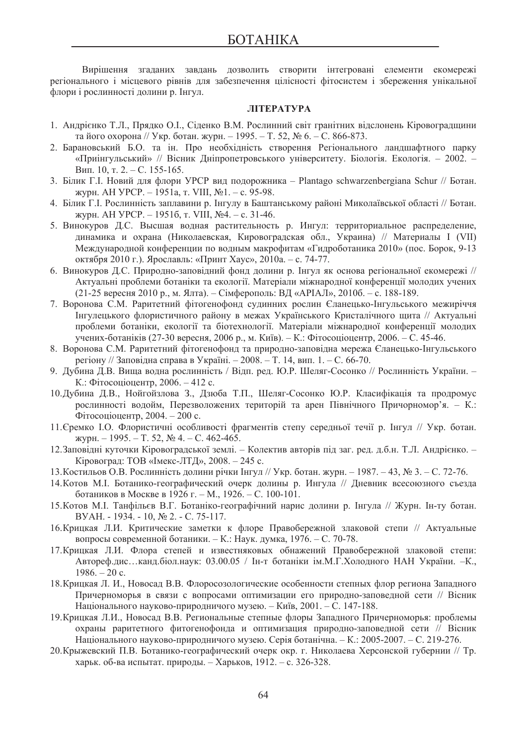Вирішення згаданих завдань дозволить створити інтегровані елементи екомережі регіонального і місцевого рівнів для забезпечення цілісності фітосистем і збереження унікальної флори і рослинності долини р. Інгул.

#### **JIITEPATYPA**

- 1. Андрієнко Т.Л., Прядко О.І., Сіденко В.М. Рослинний світ гранітних відслонень Кіровоградщини та його охорона // Укр. ботан. журн. − 1995. – Т. 52, № 6. – С. 866-873.
- 2. Барановський Б.О. та ін. Про необхідність створення Регіонального ландшафтного парку «Приінгульський» // Вісник Дніпропетровського університету. Біологія. Екологія. – 2002. – Вип. 10, т. 2. – С. 155-165.
- 3. Білик Г.І. Новий для флори УРСР вид подорожника Plantago schwarzenbergiana Schur // Ботан. журн. АН УРСР. − 1951а, т. VIII, №1. – с. 95-98.
- 4. Білик Г.І. Рослинність заплавини р. Інгулу в Баштанському районі Миколаївської області // Ботан. журн. АН УРСР. − 1951б, т. VIII, №4. – с. 31-46.
- 5. Винокуров Д.С. Высшая водная растительность р. Ингул: территориальное распределение, динамика и охрана (Николаевская, Кировоградская обл., Украина) // Материалы I (VII)  $M$ ежлунаролной конференции по волным макрофитам «Гилроботаника 2010» (пос. Борок. 9-13 октября 2010 г.). Ярославль: «Принт Хаус», 2010а. – с. 74-77.
- 6. Винокуров Д.С. Природно-заповідний фонд долини р. Інгул як основа регіональної екомережі // Актуальні проблеми ботаніки та екології. Матеріали міжнародної конференції молодих учених (21-25 вересня 2010 р., м. Ялта). – Сімферополь: ВД «АРІАЛ», 2010б. – с. 188-189.
- 7. Воронова С.М. Раритетний фітогенофонд судинних рослин Єланецько-Інгульського межиріччя Iнгулецького флористичного району в межах Українського Кристалічного шита // Актуальні проблеми ботаніки, екології та біотехнології. Матеріали міжнародної конференції молодих үчених-ботаніків (27-30 вересня, 2006 р., м. Київ). – К.: Фітосоціоцентр, 2006. – С. 45-46.
- 8. Воронова С.М. Раритетний фітогенофонд та природно-заповідна мережа Єланецько-Інгульського регіону // Заповідна справа в Україні. – 2008. – Т. 14, вип. 1. – С. 66-70.
- 9. Дубина Д.В. Вища водна рослинність / Відп. ред. Ю.Р. Шеляг-Сосонко // Рослинність України. К.: Фітосоціоцентр, 2006. – 412 с.
- 10. Дубина Д.В., Нойгойзлова З., Дзюба Т.П., Шеляг-Сосонко Ю.Р. Класифікація та продромус рослинності водойм. Перезволожених територій та арен Північного Причорномор'я. – К.:  $\Phi$ ітосоціоцентр, 2004. – 200 с.
- 11. Єремко І.О. Флористичні особливості фрагментів степу середньої течії р. Інгул // Укр. ботан.  $x_{\text{VDH.}} - 1995. - T. 52, \text{N}_2 4. - C. 462-465.$
- 12. Заповідні куточки Кіровоградської землі. Колектив авторів під заг. ред. д.б.н. Т.Л. Андрієнко. Кіровоград: ТОВ «Імекс-ЛТД», 2008. – 245 с.
- 13. Костильов О.В. Рослинність долини річки Інгул // Укр. ботан. журн. 1987. 43, № 3. С. 72-76.
- 14. Котов М. І. Ботанико-географический очерк долины р. Ингула // Дневник всесоюзного съезда ботаников в Москве в 1926 г. – М., 1926. – С. 100-101.
- 15. Котов М. І. Танфільєв В.Г. Ботаніко-географічний нарис долини р. Інгула // Журн. Ін-ту ботан. BYAH. - 1934. - 10, № 2. - C. 75-117.
- 16. Крицкая Л.И. Критические заметки к флоре Правобережной злаковой степи // Актуальные вопросы современной ботаники. – К.: Наук. думка, 1976. – С. 70-78.
- 17. Крицкая Л.И. Флора степей и известняковых обнажений Правобережной злаковой степи: Автореф.дис...канд.біол.наук: 03.00.05 / Ін-т ботаніки ім.М.Г.Холодного НАН України. –К.,  $1986. - 20$  c.
- 18. Крицкая Л. И., Новосад В.В. Флоросозологические особенности степных флор региона Западного Причерноморья в связи с вопросами оптимизации его природно-заповедной сети // Вісник Національного науково-природничого музею. – Київ, 2001. – С. 147-188.
- 19. Крицкая Л.И., Новосад В.В. Региональные степные флоры Западного Причерноморья: проблемы охраны раритетного фитогенофонда и оптимизация природно-заповедной сети // Вісник Національного науково-природничого музею. Серія ботанічна. – К.: 2005-2007. – С. 219-276.
- 20. Крыжевский П.В. Ботанико-географический очерк окр. г. Николаева Херсонской губернии // Тр. харьк. об-ва испытат. природы. – Харьков, 1912. – с. 326-328.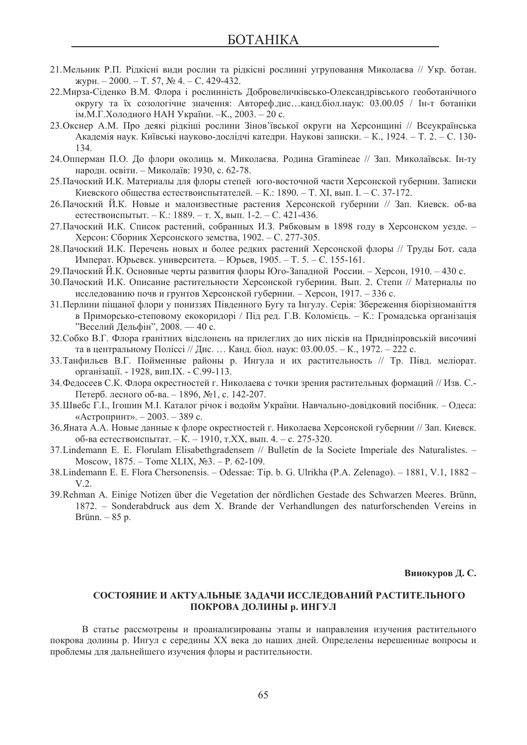- 21. Мельник Р.П. Рідкісні види рослин та рідкісні рослинні угруповання Миколаєва // Укр. ботан.  $xV$ PH. – 2000. – T. 57,  $\mathbb{N}$  4. – C. 429-432.
- 22. Мирза-Сіденко В.М. Флора і рослинність Добровеличківсько-Олександрівського геоботанічного округу та їх созологічне значення: Автореф.дис...канд.біол.наук: 03.00.05 / Ін-т ботаніки ім.М.Г. Холодного НАН України. - К., 2003. - 20 с.
- 23. Окснер А.М. Про деякі рідкіші рослини Зінов'ївської округи на Херсонщині // Всеукраїнська Академія наук. Київські науково-дослідчі катедри. Наукові записки. – К., 1924. – Т. 2. – С. 130-134.
- 24. Опперман П.О. До флори околиць м. Миколаєва. Родина Gramineae // Зап. Миколаївськ. Ін-ту народн. освіти. – Миколаїв: 1930, с. 62-78.
- 25. Пачоский И.К. Материалы для флоры степей юго-восточной части Херсонской губернии. Записки Киевского общества естествоиспытателей. – К.: 1890. – Т. XI, вып. I. – С. 37-172.
- 26. Пачоский Й.К. Новые и малоизвестные растения Херсонской губернии // Зап. Киевск. об-ва естествоиспытыт. – К.: 1889. – т. Х, вып. 1-2. – С. 421-436.
- 27. Пачоский И.К. Список растений, собранных И.З. Рябковым в 1898 году в Херсонском уезде. Херсон: Сборник Херсонского земства, 1902. – С. 277-305.
- 28. Пачоский И.К. Перечень новых и более редких растений Херсонской флоры // Труды Бот. сада Императ. Юрьевск. университета. – Юрьев, 1905. – Т. 5. – С. 155-161.
- 29. Пачоский Й.К. Основные черты развития флоры Юго-Западной России. Херсон, 1910. 430 с.
- 30. Пачоский И.К. Описание растительности Херсонской губернии. Вып. 2. Степи // Материалы по исследованию почв и грунтов Херсонской губернии. – Херсон, 1917. – 336 с.
- 31. Перлини піщаної флори у пониззях Південного Бугу та Інгулу. Серія: Збереження біорізноманіття в Приморсько-степовому екокоридорі / Під ред. Г.В. Коломієць. – К.: Громадська організація "Веселий Дельфін", 2008. — 40 с.
- 32. Собко В.Г. Флора гранітних відслонень на прилеглих до них пісків на Придніпровській височині та в центральному Поліссі // Дис. … Канд. біол. наук: 03.00.05. – К., 1972. – 222 с.
- 33. Танфильев В.Г. Пойменные районы р. Ингула и их растительность // Тр. Півд. меліорат. організації. - 1928, вип. ІХ. - С.99-113.
- 34. Федосеев С.К. Флора окрестностей г. Николаева с точки зрения растительных формаций // Изв. С.-Петерб. лесного об-ва. – 1896, №1, с. 142-207.
- 35.Швебс Г.І., Ігошин М.І. Каталог річок і водойм України. Навчально-довідковий посібник. Одеса: «Астропринт». – 2003. – 389 с.
- 36. Яната А.А. Новые данные к флоре окрестностей г. Николаева Херсонской губернии // Зап. Киевск. об-ва естествоиспытат. – К. – 1910, т.XX, вып. 4. – с. 275-320.
- 37.Lindemann E. E. Florulam Elisabethgradensem // Bulletin de la Societe Imperiale des Naturalistes. Moscow,  $1875.$  – Tome XLIX,  $N_23.$  – P. 62-109.
- 38.Lindemann E. E. Flora Chersonensis. Odessae: Tip. b. G. Ulrikha (P.A. Zelenago). 1881, V.1, 1882 V.2.
- 39.Rehman A. Einige Notizen über die Vegetation der nördlichen Gestade des Schwarzen Meeres. Brünn, 1872. – Sonderabdruck aus dem X. Brande der Verhandlungen des naturforschenden Vereins in Brünn. – 85 p.

Винокуров Д. С.

## СОСТОЯНИЕ И АКТУАЛЬНЫЕ ЗАДАЧИ ИССЛЕДОВАНИЙ РАСТИТЕЛЬНОГО **ПОКРОВА ЛОЛИНЫ р. ИНГУЛ**

В статье рассмотрены и проанализированы этапы и направления изучения растительного покрова долины р. Ингул с середины XX века до наших дней. Определены нерешенные вопросы и проблемы для дальнейшего изучения флоры и растительности.